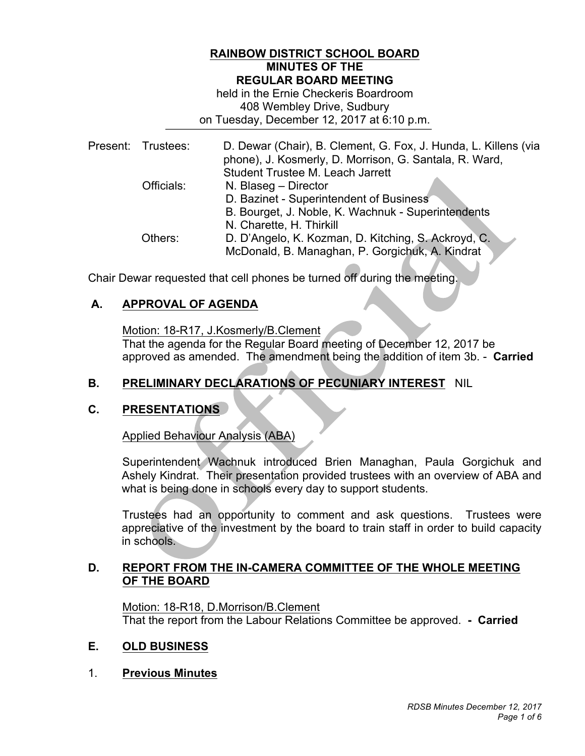## **RAINBOW DISTRICT SCHOOL BOARD MINUTES OF THE REGULAR BOARD MEETING**

 408 Wembley Drive, Sudbury on Tuesday, December 12, 2017 at 6:10 p.m. held in the Ernie Checkeris Boardroom

|  | Present: Trustees: | D. Dewar (Chair), B. Clement, G. Fox, J. Hunda, L. Killens (via<br>phone), J. Kosmerly, D. Morrison, G. Santala, R. Ward,<br>Student Trustee M. Leach Jarrett |
|--|--------------------|---------------------------------------------------------------------------------------------------------------------------------------------------------------|
|  | Officials:         | N. Blaseg - Director                                                                                                                                          |
|  |                    | D. Bazinet - Superintendent of Business                                                                                                                       |
|  |                    | B. Bourget, J. Noble, K. Wachnuk - Superintendents                                                                                                            |
|  |                    | N. Charette, H. Thirkill                                                                                                                                      |
|  | Others:            | D. D'Angelo, K. Kozman, D. Kitching, S. Ackroyd, C.                                                                                                           |
|  |                    | McDonald, B. Managhan, P. Gorgichuk, A. Kindrat                                                                                                               |

Chair Dewar requested that cell phones be turned off during the meeting.

## **A. APPROVAL OF AGENDA**

Motion: 18-R17, J.Kosmerly/B.Clement

 approved as amended. The amendment being the addition of item 3b. - **Carried**  That the agenda for the Regular Board meeting of December 12, 2017 be

## **B. PRELIMINARY DECLARATIONS OF PECUNIARY INTEREST** NIL

## **C. PRESENTATIONS**

Applied Behaviour Analysis (ABA)

 Ashely Kindrat. Their presentation provided trustees with an overview of ABA and what is being done in schools every day to support students. Superintendent Wachnuk introduced Brien Managhan, Paula Gorgichuk and

 Trustees had an opportunity to comment and ask questions. Trustees were appreciative of the investment by the board to train staff in order to build capacity in schools.

## **D. REPORT FROM THE IN-CAMERA COMMITTEE OF THE WHOLE MEETING OF THE BOARD**

 That the report from the Labour Relations Committee be approved. **- Carried**  Motion: 18-R18, D.Morrison/B.Clement

#### **OLD BUSINESS**

1. **Previous Minutes**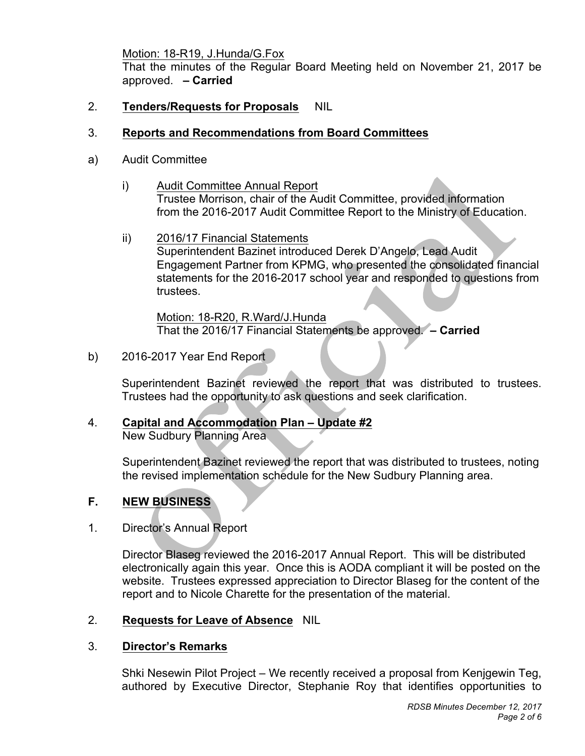Motion: 18-R19, J.Hunda/G.Fox

 That the minutes of the Regular Board Meeting held on November 21, 2017 be approved. **– Carried** 

2. Tenders/Requests for Proposals NIL

## 3. **Reports and Recommendations from Board Committees**

- a) Audit Committee
	- $\mathsf{i}$  Trustee Morrison, chair of the Audit Committee, provided information Audit Committee Annual Report from the 2016-2017 Audit Committee Report to the Ministry of Education.
	- ii) 2016/17 Financial Statements Superintendent Bazinet introduced Derek D'Angelo, Lead Audit Engagement Partner from KPMG, who presented the consolidated financial statements for the 2016-2017 school year and responded to questions from trustees.

Motion: 18-R20, R.Ward/J.Hunda That the 2016/17 Financial Statements be approved. **– Carried** 

b) 2016-2017 Year End Report

 Superintendent Bazinet reviewed the report that was distributed to trustees. Trustees had the opportunity to ask questions and seek clarification.

 4. **Capital and Accommodation Plan – Update #2**  New Sudbury Planning Area

> Superintendent Bazinet reviewed the report that was distributed to trustees, noting the revised implementation schedule for the New Sudbury Planning area.

### $F_{\rm{a}}$ **F. NEW BUSINESS**

1. Director's Annual Report

 Director Blaseg reviewed the 2016-2017 Annual Report. This will be distributed electronically again this year. Once this is AODA compliant it will be posted on the website. Trustees expressed appreciation to Director Blaseg for the content of the report and to Nicole Charette for the presentation of the material.

## 2. **Requests for Leave of Absence** NIL

## 3. **Director's Remarks**

 Shki Nesewin Pilot Project – We recently received a proposal from Kenjgewin Teg, authored by Executive Director, Stephanie Roy that identifies opportunities to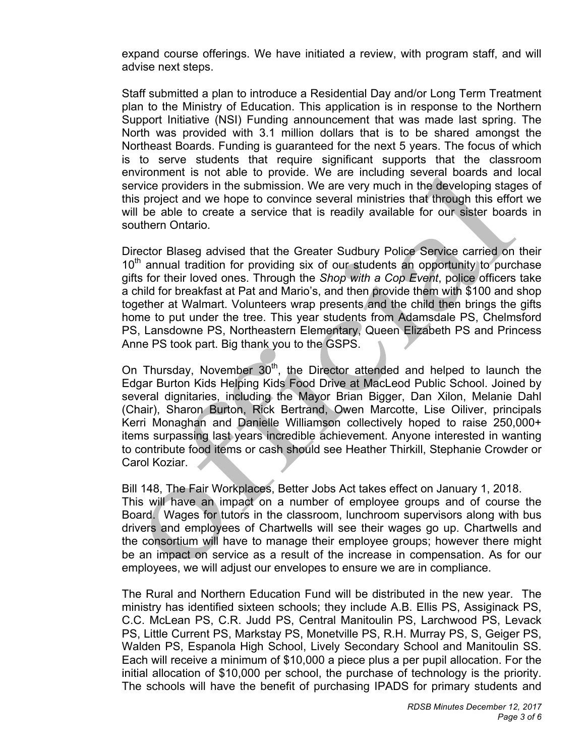expand course offerings. We have initiated a review, with program staff, and will advise next steps.

 Staff submitted a plan to introduce a Residential Day and/or Long Term Treatment plan to the Ministry of Education. This application is in response to the Northern Support Initiative (NSI) Funding announcement that was made last spring. The North was provided with 3.1 million dollars that is to be shared amongst the Northeast Boards. Funding is guaranteed for the next 5 years. The focus of which is to serve students that require significant supports that the classroom environment is not able to provide. We are including several boards and local service providers in the submission. We are very much in the developing stages of this project and we hope to convince several ministries that through this effort we will be able to create a service that is readily available for our sister boards in southern Ontario.

 Director Blaseg advised that the Greater Sudbury Police Service carried on their  $10<sup>th</sup>$  annual tradition for providing six of our students an opportunity to purchase gifts for their loved ones. Through the *Shop with a Cop Event*, police officers take a child for breakfast at Pat and Mario's, and then provide them with \$100 and shop together at Walmart. Volunteers wrap presents and the child then brings the gifts home to put under the tree. This year students from Adamsdale PS, Chelmsford PS, Lansdowne PS, Northeastern Elementary, Queen Elizabeth PS and Princess Anne PS took part. Big thank you to the GSPS.

On Thursday, November  $30<sup>th</sup>$ , the Director attended and helped to launch the Edgar Burton Kids Helping Kids Food Drive at MacLeod Public School. Joined by several dignitaries, including the Mayor Brian Bigger, Dan Xilon, Melanie Dahl (Chair), Sharon Burton, Rick Bertrand, Owen Marcotte, Lise Oiliver, principals Kerri Monaghan and Danielle Williamson collectively hoped to raise 250,000+ items surpassing last years incredible achievement. Anyone interested in wanting to contribute food items or cash should see Heather Thirkill, Stephanie Crowder or Carol Koziar.

 Bill 148, The Fair Workplaces, Better Jobs Act takes effect on January 1, 2018. This will have an impact on a number of employee groups and of course the Board. Wages for tutors in the classroom, lunchroom supervisors along with bus drivers and employees of Chartwells will see their wages go up. Chartwells and the consortium will have to manage their employee groups; however there might be an impact on service as a result of the increase in compensation. As for our employees, we will adjust our envelopes to ensure we are in compliance.

 The Rural and Northern Education Fund will be distributed in the new year. The ministry has identified sixteen schools; they include A.B. Ellis PS, Assiginack PS, C.C. McLean PS, C.R. Judd PS, Central Manitoulin PS, Larchwood PS, Levack PS, Little Current PS, Markstay PS, Monetville PS, R.H. Murray PS, S, Geiger PS, Walden PS, Espanola High School, Lively Secondary School and Manitoulin SS. Each will receive a minimum of \$10,000 a piece plus a per pupil allocation. For the initial allocation of \$10,000 per school, the purchase of technology is the priority. The schools will have the benefit of purchasing IPADS for primary students and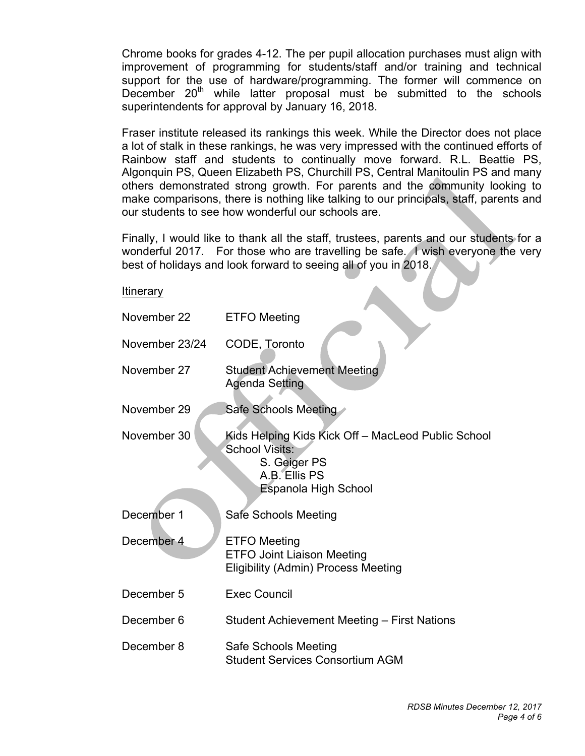Chrome books for grades 4-12. The per pupil allocation purchases must align with improvement of programming for students/staff and/or training and technical support for the use of hardware/programming. The former will commence on December  $20<sup>th</sup>$  while latter proposal must be submitted to the schools superintendents for approval by January 16, 2018.

 Fraser institute released its rankings this week. While the Director does not place a lot of stalk in these rankings, he was very impressed with the continued efforts of Rainbow staff and students to continually move forward. R.L. Beattie PS, Algonquin PS, Queen Elizabeth PS, Churchill PS, Central Manitoulin PS and many others demonstrated strong growth. For parents and the community looking to make comparisons, there is nothing like talking to our principals, staff, parents and our students to see how wonderful our schools are.

 Finally, I would like to thank all the staff, trustees, parents and our students for a wonderful 2017. For those who are travelling be safe. I wish everyone the very best of holidays and look forward to seeing all of you in 2018.

### **Itinerary**

| November 22    | <b>ETFO</b> Meeting                                                                                                                  |
|----------------|--------------------------------------------------------------------------------------------------------------------------------------|
| November 23/24 | CODE, Toronto                                                                                                                        |
| November 27    | <b>Student Achievement Meeting</b><br><b>Agenda Setting</b>                                                                          |
| November 29    | <b>Safe Schools Meeting</b>                                                                                                          |
| November 30    | Kids Helping Kids Kick Off - MacLeod Public School<br><b>School Visits:</b><br>S. Geiger PS<br>A.B. Ellis PS<br>Espanola High School |
| December 1     | Safe Schools Meeting                                                                                                                 |
| December 4     | <b>ETFO</b> Meeting<br><b>ETFO Joint Liaison Meeting</b><br><b>Eligibility (Admin) Process Meeting</b>                               |
| December 5     | <b>Exec Council</b>                                                                                                                  |
| December 6     | Student Achievement Meeting - First Nations                                                                                          |
| December 8     | Safe Schools Meeting<br><b>Student Services Consortium AGM</b>                                                                       |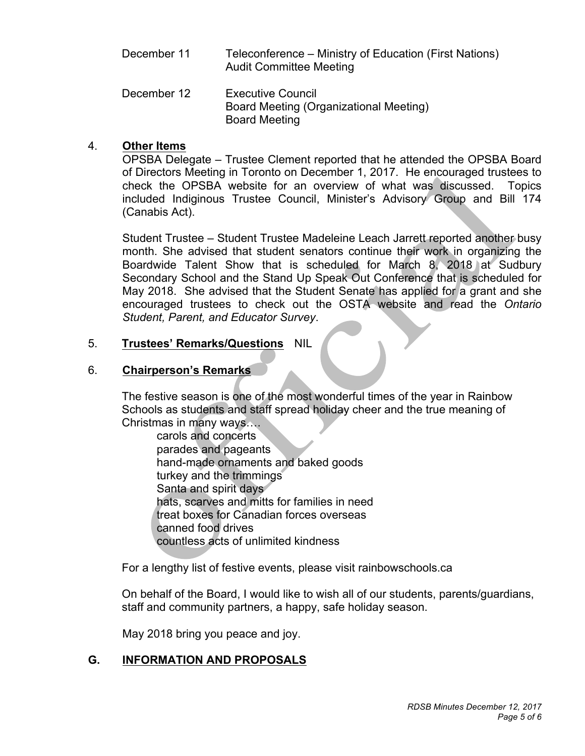- December 11 Teleconference – Ministry of Education (First Nations) Audit Committee Meeting
- December 12 **Executive Council** Board Meeting (Organizational Meeting) Board Meeting

## 4. **Other Items**

 OPSBA Delegate – Trustee Clement reported that he attended the OPSBA Board of Directors Meeting in Toronto on December 1, 2017. He encouraged trustees to check the OPSBA website for an overview of what was discussed. Topics included Indiginous Trustee Council, Minister's Advisory Group and Bill 174 (Canabis Act).

 Student Trustee – Student Trustee Madeleine Leach Jarrett reported another busy month. She advised that student senators continue their work in organizing the Boardwide Talent Show that is scheduled for March 8, 2018 at Sudbury Secondary School and the Stand Up Speak Out Conference that is scheduled for May 2018. She advised that the Student Senate has applied for a grant and she encouraged trustees to check out the OSTA website and read the *Ontario Student, Parent, and Educator Survey*.

### 5. 5. **Trustees' Remarks/Questions** NIL

# 6. **Chairperson's Remarks**

 The festive season is one of the most wonderful times of the year in Rainbow Schools as students and staff spread holiday cheer and the true meaning of Christmas in many ways….

carols and concerts parades and pageants hand-made ornaments and baked goods turkey and the trimmings Santa and spirit days hats, scarves and mitts for families in need treat boxes for Canadian forces overseas canned food drives countless acts of unlimited kindness

For a lengthy list of festive events, please visit rainbowschools.ca

 On behalf of the Board, I would like to wish all of our students, parents/guardians, staff and community partners, a happy, safe holiday season.

May 2018 bring you peace and joy.

# **G. INFORMATION AND PROPOSALS**